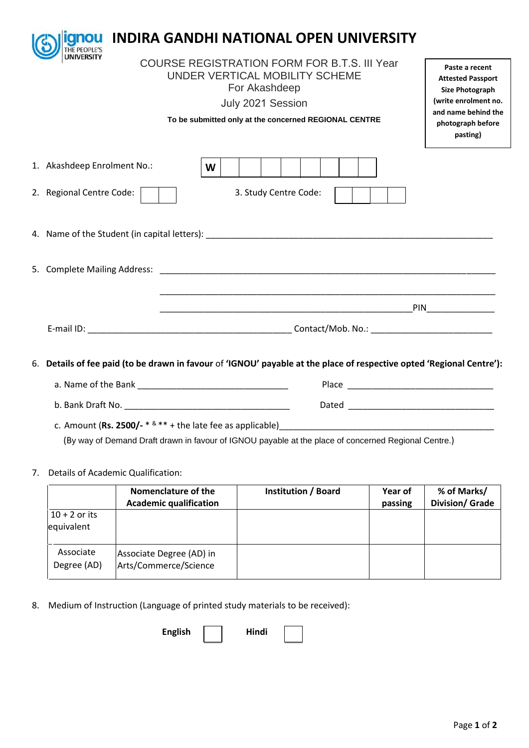| anou                                                                                                                                           |                                                                                                                                                      | <b>INDIRA GANDHI NATIONAL OPEN UNIVERSITY</b>                                                                         |  |
|------------------------------------------------------------------------------------------------------------------------------------------------|------------------------------------------------------------------------------------------------------------------------------------------------------|-----------------------------------------------------------------------------------------------------------------------|--|
| <b>COURSE REGISTRATION FORM FOR B.T.S. III Year</b><br>UNDER VERTICAL MOBILITY SCHEME<br>To be submitted only at the concerned REGIONAL CENTRE | Paste a recent<br><b>Attested Passport</b><br><b>Size Photograph</b><br>(write enrolment no.<br>and name behind the<br>photograph before<br>pasting) |                                                                                                                       |  |
| 1. Akashdeep Enrolment No.:                                                                                                                    | W                                                                                                                                                    |                                                                                                                       |  |
| 2. Regional Centre Code:                                                                                                                       |                                                                                                                                                      | 3. Study Centre Code:                                                                                                 |  |
|                                                                                                                                                |                                                                                                                                                      |                                                                                                                       |  |
|                                                                                                                                                |                                                                                                                                                      |                                                                                                                       |  |
|                                                                                                                                                |                                                                                                                                                      | <u> 1989 - Johann Stoff, amerikansk politiker (d. 1989)</u>                                                           |  |
|                                                                                                                                                |                                                                                                                                                      |                                                                                                                       |  |
|                                                                                                                                                |                                                                                                                                                      | 6. Details of fee paid (to be drawn in favour of 'IGNOU' payable at the place of respective opted 'Regional Centre'): |  |
|                                                                                                                                                |                                                                                                                                                      |                                                                                                                       |  |

b. Bank Draft No. \_\_\_\_\_\_\_\_\_\_\_\_\_\_\_\_\_\_\_\_\_\_\_\_\_\_\_\_\_\_\_\_\_\_ Dated \_\_\_\_\_\_\_\_\_\_\_\_\_\_\_\_\_\_\_\_\_\_\_\_\_\_\_\_\_\_

c. Amount (**Rs. 2500/-** \* & \*\* + the late fee as applicable)\_\_\_\_\_\_\_\_\_\_\_\_\_\_\_\_\_\_\_\_\_\_\_\_\_\_\_\_\_\_\_\_\_\_\_\_\_\_\_\_\_\_\_\_ (By way of Demand Draft drawn in favour of IGNOU payable at the place of concerned Regional Centre.)

## 7. Details of Academic Qualification:

|                               | Nomenclature of the<br><b>Academic qualification</b> | <b>Institution / Board</b> | Year of<br>passing | % of Marks/<br><b>Division/ Grade</b> |
|-------------------------------|------------------------------------------------------|----------------------------|--------------------|---------------------------------------|
| $10 + 2$ or its<br>equivalent |                                                      |                            |                    |                                       |
| Associate<br>Degree (AD)      | Associate Degree (AD) in<br>Arts/Commerce/Science    |                            |                    |                                       |

8. Medium of Instruction (Language of printed study materials to be received):

English | Hindi